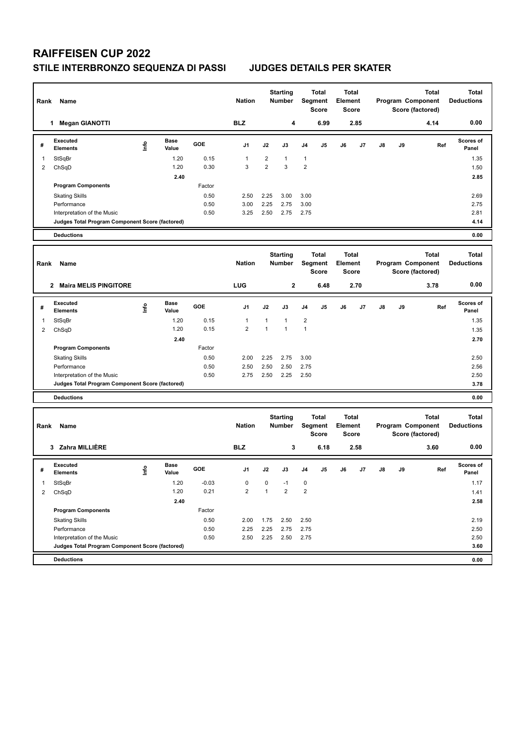## **RAIFFEISEN CUP 2022**

## **STILE INTERBRONZO SEQUENZA DI PASSI JUDGES DETAILS PER SKATER**

| Rank | Name                                            |             |                      |            | <b>Nation</b>  |                | <b>Starting</b><br><b>Number</b> | Total<br><b>Segment</b><br><b>Score</b> |                                  | Total<br>Element<br><b>Score</b>        |      |    |    | <b>Total</b><br>Program Component<br>Score (factored) | <b>Total</b><br><b>Deductions</b> |
|------|-------------------------------------------------|-------------|----------------------|------------|----------------|----------------|----------------------------------|-----------------------------------------|----------------------------------|-----------------------------------------|------|----|----|-------------------------------------------------------|-----------------------------------|
|      | <b>Megan GIANOTTI</b><br>1.                     |             |                      |            | <b>BLZ</b>     |                | 4                                |                                         | 6.99                             |                                         | 2.85 |    |    | 4.14                                                  | 0.00                              |
| #    | <b>Executed</b><br><b>Elements</b>              | <u>info</u> | <b>Base</b><br>Value | <b>GOE</b> | J <sub>1</sub> | J2             | J3                               | J <sub>4</sub>                          | J <sub>5</sub>                   | J6                                      | J7   | J8 | J9 | Ref                                                   | <b>Scores of</b><br>Panel         |
|      | StSqBr                                          |             | 1.20                 | 0.15       |                | 2              | $\overline{1}$                   | $\mathbf{1}$                            |                                  |                                         |      |    |    |                                                       | 1.35                              |
| 2    | ChSqD                                           |             | 1.20                 | 0.30       | 3              | $\overline{2}$ | 3                                | 2                                       |                                  |                                         |      |    |    |                                                       | 1.50                              |
|      |                                                 |             | 2.40                 |            |                |                |                                  |                                         |                                  |                                         |      |    |    |                                                       | 2.85                              |
|      | <b>Program Components</b>                       |             |                      | Factor     |                |                |                                  |                                         |                                  |                                         |      |    |    |                                                       |                                   |
|      | <b>Skating Skills</b>                           |             |                      | 0.50       | 2.50           | 2.25           | 3.00                             | 3.00                                    |                                  |                                         |      |    |    |                                                       | 2.69                              |
|      | Performance                                     |             |                      | 0.50       | 3.00           | 2.25           | 2.75                             | 3.00                                    |                                  |                                         |      |    |    |                                                       | 2.75                              |
|      | Interpretation of the Music                     |             |                      | 0.50       | 3.25           | 2.50           | 2.75                             | 2.75                                    |                                  |                                         |      |    |    |                                                       | 2.81                              |
|      | Judges Total Program Component Score (factored) |             |                      |            |                |                |                                  |                                         |                                  |                                         |      |    |    |                                                       | 4.14                              |
|      | <b>Deductions</b>                               |             |                      |            |                |                |                                  |                                         |                                  |                                         |      |    |    |                                                       | 0.00                              |
| Rank | Name                                            |             |                      |            | <b>Nation</b>  |                | <b>Starting</b><br><b>Number</b> |                                         | Total<br>Segment<br><b>Score</b> | <b>Total</b><br>Element<br><b>Score</b> |      |    |    | Total<br>Program Component<br>Score (factored)        | <b>Total</b><br><b>Deductions</b> |
|      | Maira MELIS DINGITOPE<br>2                      |             |                      |            | <b>LIIG</b>    |                | ,                                |                                         | <b>GAR</b>                       |                                         | 2.70 |    |    | 378                                                   | 0.00                              |

|   | Maira MELIS PINGITORE                           |    |               |            | LUG            |      | 2    |                | 6.48 |    | 2.70 |    |    | 3.78 | v.vv                      |
|---|-------------------------------------------------|----|---------------|------------|----------------|------|------|----------------|------|----|------|----|----|------|---------------------------|
| # | Executed<br><b>Elements</b>                     | ۴e | Base<br>Value | <b>GOE</b> | J <sub>1</sub> | J2   | J3   | J4             | J5   | J6 | J7   | J8 | J9 | Ref  | <b>Scores of</b><br>Panel |
|   | StSqBr                                          |    | 1.20          | 0.15       |                |      |      | $\overline{2}$ |      |    |      |    |    |      | 1.35                      |
| 2 | ChSqD                                           |    | 1.20          | 0.15       | 2              |      |      |                |      |    |      |    |    |      | 1.35                      |
|   |                                                 |    | 2.40          |            |                |      |      |                |      |    |      |    |    |      | 2.70                      |
|   | <b>Program Components</b>                       |    |               | Factor     |                |      |      |                |      |    |      |    |    |      |                           |
|   | <b>Skating Skills</b>                           |    |               | 0.50       | 2.00           | 2.25 | 2.75 | 3.00           |      |    |      |    |    |      | 2.50                      |
|   | Performance                                     |    |               | 0.50       | 2.50           | 2.50 | 2.50 | 2.75           |      |    |      |    |    |      | 2.56                      |
|   | Interpretation of the Music                     |    |               | 0.50       | 2.75           | 2.50 | 2.25 | 2.50           |      |    |      |    |    |      | 2.50                      |
|   | Judges Total Program Component Score (factored) |    |               |            |                |      |      |                |      |    |      |    |    |      | 3.78                      |
|   |                                                 |    |               |            |                |      |      |                |      |    |      |    |    |      |                           |

**Deductions 0.00**

| Name<br>Rank |                                                 |   |                      |            |                |              | <b>Starting</b><br><b>Number</b> |                | <b>Total</b><br>Segment<br>Score | Element | Total<br><b>Score</b> |    |    | <b>Total</b><br>Program Component<br>Score (factored) | <b>Total</b><br><b>Deductions</b> |
|--------------|-------------------------------------------------|---|----------------------|------------|----------------|--------------|----------------------------------|----------------|----------------------------------|---------|-----------------------|----|----|-------------------------------------------------------|-----------------------------------|
|              | Zahra MILLIÈRE<br>3                             |   |                      |            | <b>BLZ</b>     |              | 3                                |                | 6.18                             |         | 2.58                  |    |    | 3.60                                                  | 0.00                              |
| #            | Executed<br><b>Elements</b>                     | ۴ | <b>Base</b><br>Value | <b>GOE</b> | J <sub>1</sub> | J2           | J3                               | J <sub>4</sub> | J <sub>5</sub>                   | J6      | J <sub>7</sub>        | J8 | J9 | Ref                                                   | <b>Scores of</b><br>Panel         |
|              | StSqBr                                          |   | 1.20                 | $-0.03$    | 0              | $\mathbf 0$  | $-1$                             | $\mathbf 0$    |                                  |         |                       |    |    |                                                       | 1.17                              |
| 2            | ChSqD                                           |   | 1.20                 | 0.21       | $\overline{2}$ | $\mathbf{1}$ | $\overline{2}$                   | $\overline{2}$ |                                  |         |                       |    |    |                                                       | 1.41                              |
|              |                                                 |   | 2.40                 |            |                |              |                                  |                |                                  |         |                       |    |    |                                                       | 2.58                              |
|              | <b>Program Components</b>                       |   |                      | Factor     |                |              |                                  |                |                                  |         |                       |    |    |                                                       |                                   |
|              | <b>Skating Skills</b>                           |   |                      | 0.50       | 2.00           | 1.75         | 2.50                             | 2.50           |                                  |         |                       |    |    |                                                       | 2.19                              |
|              | Performance                                     |   |                      | 0.50       | 2.25           | 2.25         | 2.75                             | 2.75           |                                  |         |                       |    |    |                                                       | 2.50                              |
|              | Interpretation of the Music                     |   |                      | 0.50       | 2.50           | 2.25         | 2.50                             | 2.75           |                                  |         |                       |    |    |                                                       | 2.50                              |
|              | Judges Total Program Component Score (factored) |   |                      |            |                |              |                                  |                |                                  |         |                       |    |    |                                                       | 3.60                              |
|              | <b>Deductions</b>                               |   |                      |            |                |              |                                  |                |                                  |         |                       |    |    |                                                       | 0.00                              |